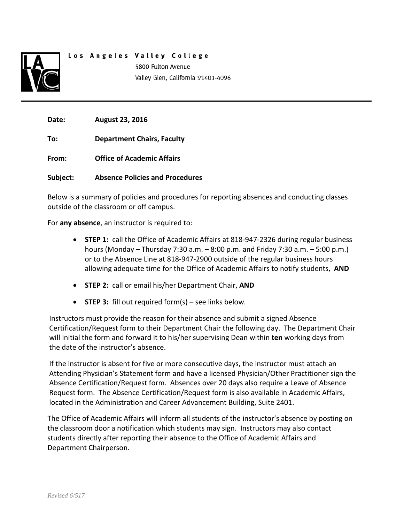

# Los Angeles Valley College 5800 Fulton Avenue Valley Glen, California 91401-4096

**Date: August 23, 2016**

**To: Department Chairs, Faculty**

**From: Office of Academic Affairs**

**Subject: Absence Policies and Procedures**

Below is a summary of policies and procedures for reporting absences and conducting classes outside of the classroom or off campus.

For **any absence**, an instructor is required to:

- **STEP 1:** call the Office of Academic Affairs at 818-947-2326 during regular business hours (Monday – Thursday 7:30 a.m. – 8:00 p.m. and Friday 7:30 a.m. – 5:00 p.m.) or to the Absence Line at 818-947-2900 outside of the regular business hours allowing adequate time for the Office of Academic Affairs to notify students, **AND**
- **STEP 2:** call or email his/her Department Chair, **AND**
- **STEP 3:** fill out required form(s) see links below.

Instructors must provide the reason for their absence and submit a signed Absence Certification/Request form to their Department Chair the following day. The Department Chair will initial the form and forward it to his/her supervising Dean within **ten** working days from the date of the instructor's absence.

If the instructor is absent for five or more consecutive days, the instructor must attach an Attending Physician's Statement form and have a licensed Physician/Other Practitioner sign the Absence Certification/Request form. Absences over 20 days also require a Leave of Absence Request form. The Absence Certification/Request form is also available in Academic Affairs, located in the Administration and Career Advancement Building, Suite 2401.

The Office of Academic Affairs will inform all students of the instructor's absence by posting on the classroom door a notification which students may sign. Instructors may also contact students directly after reporting their absence to the Office of Academic Affairs and Department Chairperson.